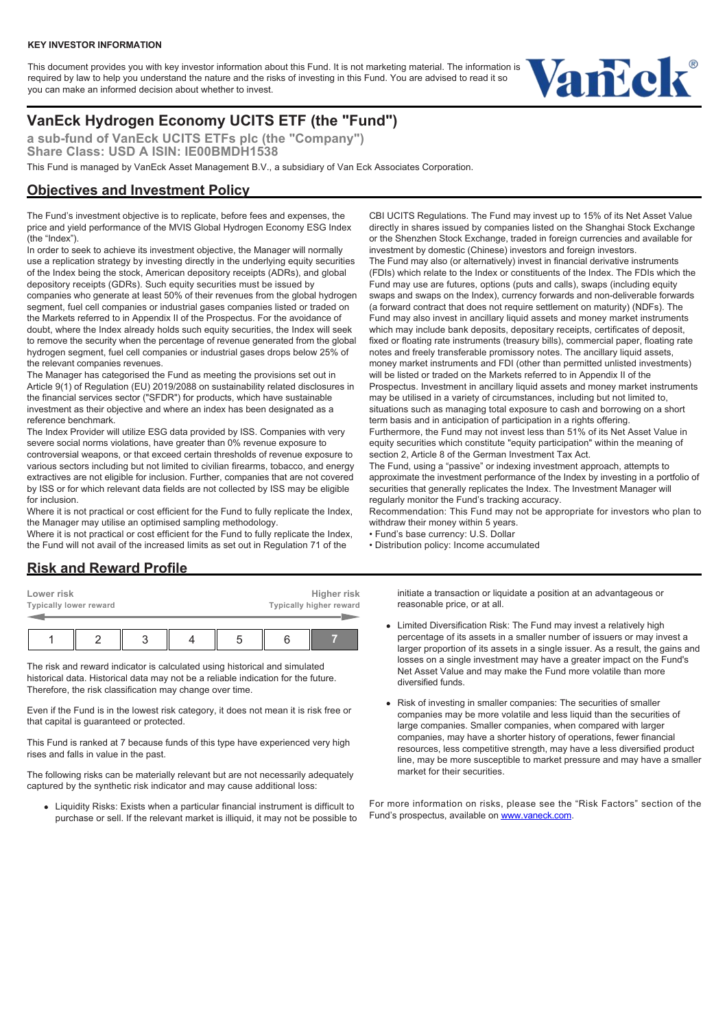#### **KEY INVESTOR INFORMATION**

This document provides you with key investor information about this Fund. It is not marketing material. The information is required by law to help you understand the nature and the risks of investing in this Fund. You are advised to read it so you can make an informed decision about whether to invest.



# **VanEck Hydrogen Economy UCITS ETF (the "Fund")**

**a sub-fund of VanEck UCITS ETFs plc (the "Company") Share Class: USD A ISIN: IE00BMDH1538**

This Fund is managed by VanEck Asset Management B.V., a subsidiary of Van Eck Associates Corporation.

#### **Objectives and Investment Policy**

The Fund's investment objective is to replicate, before fees and expenses, the price and yield performance of the MVIS Global Hydrogen Economy ESG Index (the "Index").

In order to seek to achieve its investment objective, the Manager will normally use a replication strategy by investing directly in the underlying equity securities of the Index being the stock, American depository receipts (ADRs), and global depository receipts (GDRs). Such equity securities must be issued by companies who generate at least 50% of their revenues from the global hydrogen segment, fuel cell companies or industrial gases companies listed or traded on the Markets referred to in Appendix II of the Prospectus. For the avoidance of doubt, where the Index already holds such equity securities, the Index will seek to remove the security when the percentage of revenue generated from the global hydrogen segment, fuel cell companies or industrial gases drops below 25% of the relevant companies revenues.

The Manager has categorised the Fund as meeting the provisions set out in Article 9(1) of Regulation (EU) 2019/2088 on sustainability related disclosures in the financial services sector ("SFDR") for products, which have sustainable investment as their objective and where an index has been designated as a reference benchmark.

The Index Provider will utilize ESG data provided by ISS. Companies with very severe social norms violations, have greater than 0% revenue exposure to controversial weapons, or that exceed certain thresholds of revenue exposure to various sectors including but not limited to civilian firearms, tobacco, and energy extractives are not eligible for inclusion. Further, companies that are not covered by ISS or for which relevant data fields are not collected by ISS may be eligible for inclusion.

Where it is not practical or cost efficient for the Fund to fully replicate the Index, the Manager may utilise an optimised sampling methodology.

Where it is not practical or cost efficient for the Fund to fully replicate the Index, the Fund will not avail of the increased limits as set out in Regulation 71 of the

CBI UCITS Regulations. The Fund may invest up to 15% of its Net Asset Value directly in shares issued by companies listed on the Shanghai Stock Exchange or the Shenzhen Stock Exchange, traded in foreign currencies and available for investment by domestic (Chinese) investors and foreign investors. The Fund may also (or alternatively) invest in financial derivative instruments (FDIs) which relate to the Index or constituents of the Index. The FDIs which the

Fund may use are futures, options (puts and calls), swaps (including equity swaps and swaps on the Index), currency forwards and non-deliverable forwards (a forward contract that does not require settlement on maturity) (NDFs). The Fund may also invest in ancillary liquid assets and money market instruments which may include bank deposits, depositary receipts, certificates of deposit. fixed or floating rate instruments (treasury bills), commercial paper, floating rate notes and freely transferable promissory notes. The ancillary liquid assets, money market instruments and FDI (other than permitted unlisted investments) will be listed or traded on the Markets referred to in Appendix II of the Prospectus. Investment in ancillary liquid assets and money market instruments may be utilised in a variety of circumstances, including but not limited to, situations such as managing total exposure to cash and borrowing on a short term basis and in anticipation of participation in a rights offering.

Furthermore, the Fund may not invest less than 51% of its Net Asset Value in equity securities which constitute "equity participation" within the meaning of section 2, Article 8 of the German Investment Tax Act.

The Fund, using a "passive" or indexing investment approach, attempts to approximate the investment performance of the Index by investing in a portfolio of securities that generally replicates the Index. The Investment Manager will regularly monitor the Fund's tracking accuracy.

Recommendation: This Fund may not be appropriate for investors who plan to withdraw their money within 5 years.

• Fund's base currency: U.S. Dollar

• Distribution policy: Income accumulated

### **Risk and Reward Profile**

| Lower risk             |  |  |  |  | Higher risk             |
|------------------------|--|--|--|--|-------------------------|
| Typically lower reward |  |  |  |  | Typically higher reward |
|                        |  |  |  |  |                         |
|                        |  |  |  |  |                         |

The risk and reward indicator is calculated using historical and simulated historical data. Historical data may not be a reliable indication for the future. Therefore, the risk classification may change over time.

Even if the Fund is in the lowest risk category, it does not mean it is risk free or that capital is guaranteed or protected.

This Fund is ranked at 7 because funds of this type have experienced very high rises and falls in value in the past.

The following risks can be materially relevant but are not necessarily adequately captured by the synthetic risk indicator and may cause additional loss:

Liquidity Risks: Exists when a particular financial instrument is difficult to purchase or sell. If the relevant market is illiquid, it may not be possible to initiate a transaction or liquidate a position at an advantageous or reasonable price, or at all.

- Limited Diversification Risk: The Fund may invest a relatively high percentage of its assets in a smaller number of issuers or may invest a larger proportion of its assets in a single issuer. As a result, the gains and losses on a single investment may have a greater impact on the Fund's Net Asset Value and may make the Fund more volatile than more diversified funds.
- Risk of investing in smaller companies: The securities of smaller companies may be more volatile and less liquid than the securities of large companies. Smaller companies, when compared with larger companies, may have a shorter history of operations, fewer financial resources, less competitive strength, may have a less diversified product line, may be more susceptible to market pressure and may have a smaller market for their securities.

For more information on risks, please see the "Risk Factors" section of the Fund's prospectus, available on [www.vaneck.com.](https://www.vaneck.com)